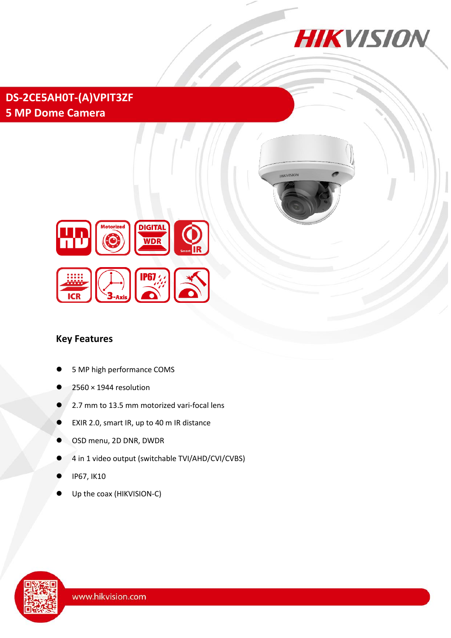

**HIKVISION** 

**DS-2CE5AH0T-(A)VPIT3ZF 5 MP Dome Camera**



#### **Key Features**

- 5 MP high performance COMS
- $2560 \times 1944$  resolution
- 2.7 mm to 13.5 mm motorized vari-focal lens
- EXIR 2.0, smart IR, up to 40 m IR distance
- OSD menu, 2D DNR, DWDR
- 4 in 1 video output (switchable TVI/AHD/CVI/CVBS)
- IP67, IK10
- Up the coax (HIKVISION-C)

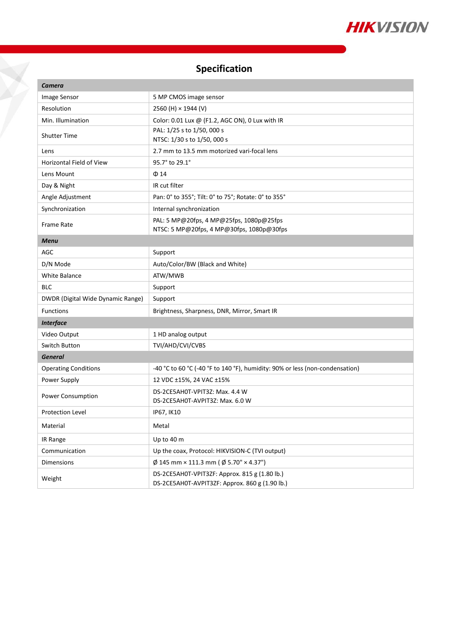

## **Specification**

 $\tilde{\bf{X}}$ 

| <b>Camera</b>                     |                                                                                                 |
|-----------------------------------|-------------------------------------------------------------------------------------------------|
| Image Sensor                      | 5 MP CMOS image sensor                                                                          |
| Resolution                        | 2560 (H) × 1944 (V)                                                                             |
| Min. Illumination                 | Color: 0.01 Lux @ (F1.2, AGC ON), 0 Lux with IR                                                 |
| <b>Shutter Time</b>               | PAL: 1/25 s to 1/50, 000 s                                                                      |
|                                   | NTSC: 1/30 s to 1/50, 000 s<br>2.7 mm to 13.5 mm motorized vari-focal lens                      |
| Lens<br>Horizontal Field of View  | 95.7° to 29.1°                                                                                  |
|                                   |                                                                                                 |
| Lens Mount                        | $\Phi$ 14                                                                                       |
| Day & Night                       | IR cut filter                                                                                   |
| Angle Adjustment                  | Pan: 0° to 355°; Tilt: 0° to 75°; Rotate: 0° to 355°                                            |
| Synchronization                   | Internal synchronization                                                                        |
| <b>Frame Rate</b>                 | PAL: 5 MP@20fps, 4 MP@25fps, 1080p@25fps<br>NTSC: 5 MP@20fps, 4 MP@30fps, 1080p@30fps           |
| <b>Menu</b>                       |                                                                                                 |
| AGC                               | Support                                                                                         |
| D/N Mode                          | Auto/Color/BW (Black and White)                                                                 |
| <b>White Balance</b>              | ATW/MWB                                                                                         |
| <b>BLC</b>                        | Support                                                                                         |
| DWDR (Digital Wide Dynamic Range) | Support                                                                                         |
| Functions                         | Brightness, Sharpness, DNR, Mirror, Smart IR                                                    |
| <b>Interface</b>                  |                                                                                                 |
| Video Output                      | 1 HD analog output                                                                              |
| Switch Button                     | TVI/AHD/CVI/CVBS                                                                                |
| <b>General</b>                    |                                                                                                 |
| <b>Operating Conditions</b>       | -40 °C to 60 °C (-40 °F to 140 °F), humidity: 90% or less (non-condensation)                    |
| Power Supply                      | 12 VDC ±15%, 24 VAC ±15%                                                                        |
| Power Consumption                 | DS-2CE5AH0T-VPIT3Z: Max. 4.4 W<br>DS-2CE5AH0T-AVPIT3Z: Max. 6.0 W                               |
| <b>Protection Level</b>           | IP67, IK10                                                                                      |
| Material                          | Metal                                                                                           |
| IR Range                          | Up to 40 m                                                                                      |
| Communication                     | Up the coax, Protocol: HIKVISION-C (TVI output)                                                 |
| <b>Dimensions</b>                 | $\emptyset$ 145 mm × 111.3 mm ( $\emptyset$ 5.70" × 4.37")                                      |
| Weight                            | DS-2CE5AH0T-VPIT3ZF: Approx. 815 g (1.80 lb.)<br>DS-2CE5AH0T-AVPIT3ZF: Approx. 860 g (1.90 lb.) |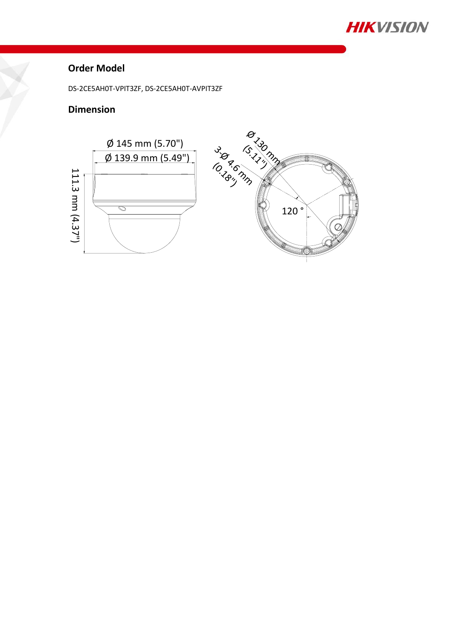

### **Order Model**

DS-2CE5AH0T-VPIT3ZF, DS-2CE5AH0T-AVPIT3ZF

### **Dimension**